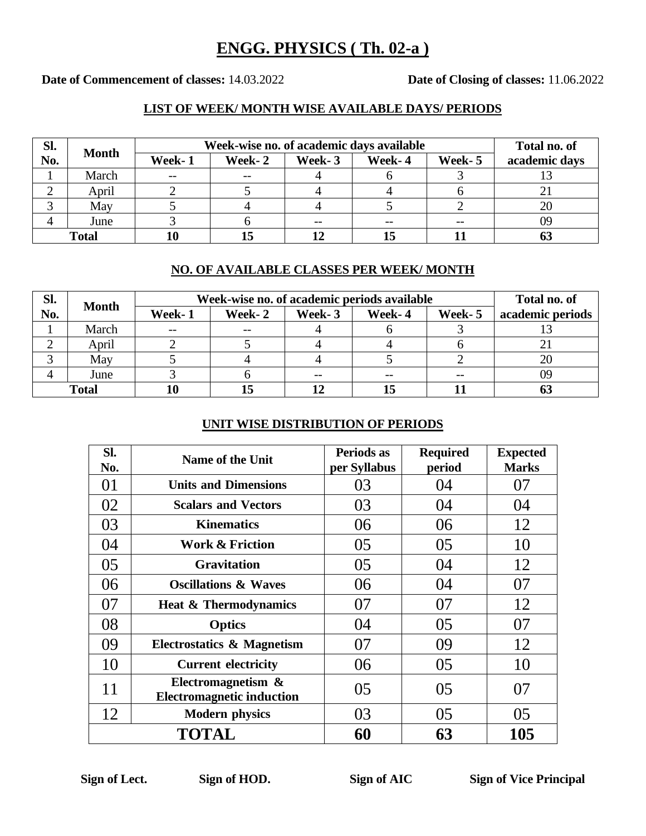### **ENGG. PHYSICS ( Th. 02-a )**

**Date of Commencement of classes:** 14.03.2022 **Date of Closing of classes:** 11.06.2022

#### **LIST OF WEEK/ MONTH WISE AVAILABLE DAYS/ PERIODS**

| Sl.          | <b>Month</b> | Week-wise no. of academic days available | Total no. of |        |        |        |               |
|--------------|--------------|------------------------------------------|--------------|--------|--------|--------|---------------|
| No.          |              | Week-1                                   | Week-2       | Week-3 | Week-4 | Week-5 | academic days |
|              | March        | $- -$                                    | $- -$        |        |        |        |               |
|              | April        |                                          |              |        |        |        |               |
|              | May          |                                          |              |        |        |        |               |
|              | June         |                                          |              | $- -$  |        | $- -$  | 09            |
| <b>Total</b> |              |                                          | 15           |        |        |        |               |

#### **NO. OF AVAILABLE CLASSES PER WEEK/ MONTH**

| Sl.          | <b>Month</b> | Week-wise no. of academic periods available | Total no. of |        |        |         |                  |
|--------------|--------------|---------------------------------------------|--------------|--------|--------|---------|------------------|
| No.          |              | Week-1                                      | Week-2       | Week-3 | Week-4 | Week- 5 | academic periods |
|              | March        | $- -$                                       | $- -$        |        |        |         |                  |
|              | April        |                                             |              |        |        |         |                  |
|              | May          |                                             |              |        |        |         | 20               |
|              | June         |                                             |              |        |        |         | 09               |
| <b>Total</b> |              |                                             | 15           |        |        |         | UJ               |

#### **UNIT WISE DISTRIBUTION OF PERIODS**

| SI.<br>No. | <b>Name of the Unit</b>                                | Periods as<br>per Syllabus | <b>Required</b><br>period | <b>Expected</b><br><b>Marks</b> |
|------------|--------------------------------------------------------|----------------------------|---------------------------|---------------------------------|
| 01         | <b>Units and Dimensions</b>                            | 03                         | 04                        | 07                              |
| 02         | <b>Scalars and Vectors</b>                             | 03                         | 04                        | 04                              |
| 03         | <b>Kinematics</b>                                      | 06                         | 06                        | 12                              |
| 04         | <b>Work &amp; Friction</b>                             | 05                         | 05                        | 10                              |
| 05         | <b>Gravitation</b>                                     | 05                         | 04                        | 12                              |
| 06         | <b>Oscillations &amp; Waves</b>                        | 06                         | 04                        | 07                              |
| 07         | <b>Heat &amp; Thermodynamics</b>                       | 07                         | 07                        | 12                              |
| 08         | <b>Optics</b>                                          | 04                         | 05                        | 07                              |
| 09         | Electrostatics & Magnetism                             | 07                         | 09                        | 12                              |
| 10         | <b>Current electricity</b>                             | 06                         | 05                        | 10                              |
| 11         | Electromagnetism &<br><b>Electromagnetic induction</b> | 05                         | 05                        | 07                              |
| 12         | <b>Modern physics</b>                                  | 03                         | 05                        | 05                              |
|            | <b>TOTAL</b>                                           | 60                         | 63                        | 105                             |

**Sign of Lect. Sign of HOD. Sign of AIC Sign of Vice Principal**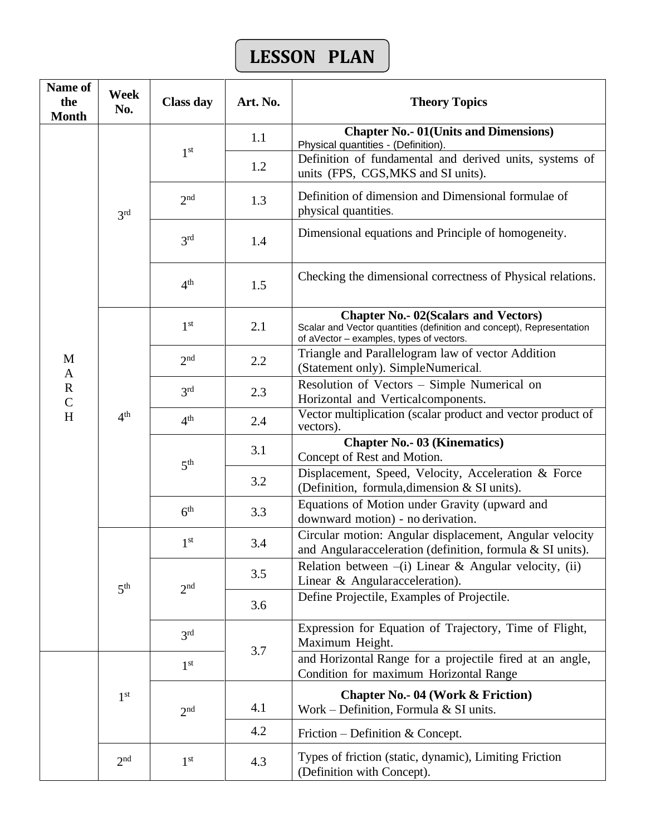# **LESSON PLAN**

| Name of<br>the<br><b>Month</b> | Week<br>No.     | <b>Class day</b>                   | Art. No. | <b>Theory Topics</b>                                                                                                                                              |
|--------------------------------|-----------------|------------------------------------|----------|-------------------------------------------------------------------------------------------------------------------------------------------------------------------|
|                                |                 | 1 <sup>st</sup>                    | 1.1      | <b>Chapter No.- 01 (Units and Dimensions)</b><br>Physical quantities - (Definition).                                                                              |
|                                |                 |                                    | 1.2      | Definition of fundamental and derived units, systems of<br>units (FPS, CGS, MKS and SI units).                                                                    |
|                                | 3 <sup>rd</sup> | 2 <sub>nd</sub>                    | 1.3      | Definition of dimension and Dimensional formulae of<br>physical quantities.                                                                                       |
|                                |                 | 3 <sup>rd</sup>                    | 1.4      | Dimensional equations and Principle of homogeneity.                                                                                                               |
|                                |                 | 4 <sup>th</sup>                    | 1.5      | Checking the dimensional correctness of Physical relations.                                                                                                       |
|                                | 4 <sup>th</sup> | 1 <sup>st</sup>                    | 2.1      | <b>Chapter No.- 02 (Scalars and Vectors)</b><br>Scalar and Vector quantities (definition and concept), Representation<br>of aVector - examples, types of vectors. |
| M<br>$\mathbf{A}$              |                 | 2 <sub>nd</sub>                    | 2.2      | Triangle and Parallelogram law of vector Addition<br>(Statement only). SimpleNumerical.                                                                           |
| $\mathbf R$<br>$\mathcal{C}$   |                 | 3 <sup>rd</sup>                    | 2.3      | Resolution of Vectors - Simple Numerical on<br>Horizontal and Vertical components.                                                                                |
| H                              |                 | 4 <sup>th</sup>                    | 2.4      | Vector multiplication (scalar product and vector product of<br>vectors).                                                                                          |
|                                |                 | 5 <sup>th</sup>                    | 3.1      | <b>Chapter No.- 03 (Kinematics)</b><br>Concept of Rest and Motion.                                                                                                |
|                                |                 |                                    | 3.2      | Displacement, Speed, Velocity, Acceleration & Force<br>(Definition, formula, dimension & SI units).                                                               |
|                                |                 | 6 <sup>th</sup>                    | 3.3      | Equations of Motion under Gravity (upward and<br>downward motion) - no derivation.                                                                                |
|                                |                 | 1 <sup>st</sup>                    | 3.4      | Circular motion: Angular displacement, Angular velocity<br>and Angularacceleration (definition, formula & SI units).                                              |
|                                |                 | 5 <sup>th</sup><br>2 <sup>nd</sup> | 3.5      | Relation between $-(i)$ Linear & Angular velocity, (ii)<br>Linear & Angularacceleration).                                                                         |
|                                |                 |                                    | 3.6      | Define Projectile, Examples of Projectile.                                                                                                                        |
|                                |                 | 3 <sup>rd</sup>                    |          | Expression for Equation of Trajectory, Time of Flight,<br>Maximum Height.                                                                                         |
|                                | 1 <sup>st</sup> | 1 <sup>st</sup>                    | 3.7      | and Horizontal Range for a projectile fired at an angle,<br>Condition for maximum Horizontal Range                                                                |
|                                |                 | 2 <sub>nd</sub>                    | 4.1      | <b>Chapter No.- 04 (Work &amp; Friction)</b><br>Work – Definition, Formula & SI units.                                                                            |
|                                |                 |                                    | 4.2      | Friction – Definition & Concept.                                                                                                                                  |
|                                | 2 <sup>nd</sup> | 1 <sup>st</sup>                    | 4.3      | Types of friction (static, dynamic), Limiting Friction<br>(Definition with Concept).                                                                              |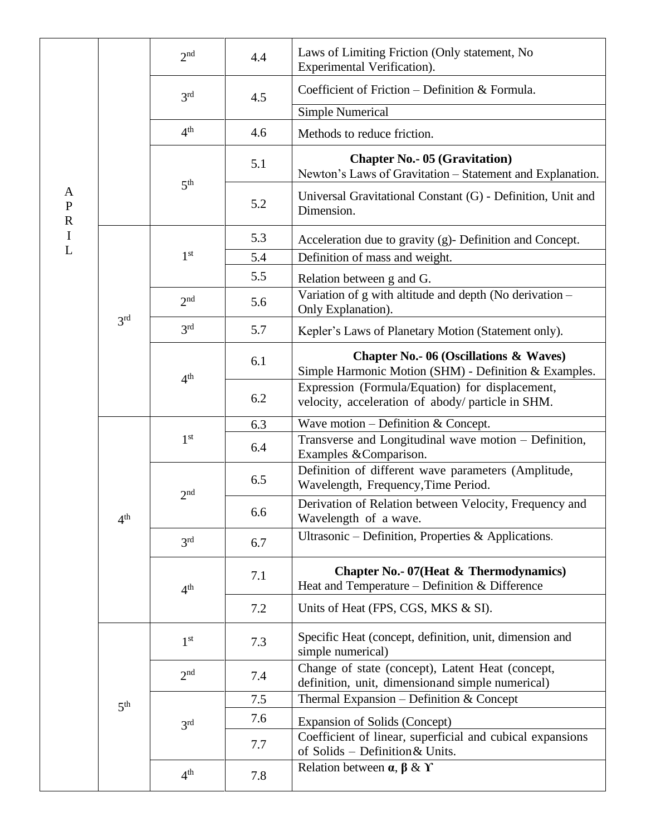|                               |                 | 2 <sub>nd</sub> | 4.4 | Laws of Limiting Friction (Only statement, No<br>Experimental Verification).                               |
|-------------------------------|-----------------|-----------------|-----|------------------------------------------------------------------------------------------------------------|
|                               |                 | 3 <sup>rd</sup> | 4.5 | Coefficient of Friction - Definition & Formula.                                                            |
|                               |                 |                 |     | <b>Simple Numerical</b>                                                                                    |
|                               |                 | 4 <sup>th</sup> | 4.6 | Methods to reduce friction.                                                                                |
|                               |                 |                 | 5.1 | <b>Chapter No.- 05 (Gravitation)</b><br>Newton's Laws of Gravitation - Statement and Explanation.          |
| A<br>${\bf P}$<br>$\mathbf R$ |                 | 5 <sup>th</sup> | 5.2 | Universal Gravitational Constant (G) - Definition, Unit and<br>Dimension.                                  |
| $\mathbf I$                   |                 |                 | 5.3 | Acceleration due to gravity (g)- Definition and Concept.                                                   |
| $\overline{L}$                |                 | 1 <sup>st</sup> | 5.4 | Definition of mass and weight.                                                                             |
|                               |                 |                 | 5.5 | Relation between g and G.                                                                                  |
|                               |                 | 2 <sup>nd</sup> | 5.6 | Variation of g with altitude and depth (No derivation -<br>Only Explanation).                              |
|                               | 3 <sup>rd</sup> | 3 <sup>rd</sup> | 5.7 | Kepler's Laws of Planetary Motion (Statement only).                                                        |
|                               |                 | 4 <sup>th</sup> | 6.1 | <b>Chapter No.- 06 (Oscillations &amp; Waves)</b><br>Simple Harmonic Motion (SHM) - Definition & Examples. |
|                               |                 |                 | 6.2 | Expression (Formula/Equation) for displacement,<br>velocity, acceleration of abody/particle in SHM.        |
|                               |                 |                 | 6.3 | Wave motion $-$ Definition & Concept.                                                                      |
|                               | 4 <sup>th</sup> | 1 <sup>st</sup> | 6.4 | Transverse and Longitudinal wave motion - Definition,<br>Examples & Comparison.                            |
|                               |                 | 2 <sup>nd</sup> | 6.5 | Definition of different wave parameters (Amplitude,<br>Wavelength, Frequency, Time Period.                 |
|                               |                 |                 | 6.6 | Derivation of Relation between Velocity, Frequency and<br>Wavelength of a wave.                            |
|                               |                 | 3 <sup>rd</sup> | 6.7 | Ultrasonic - Definition, Properties & Applications.                                                        |
|                               |                 | 4 <sup>th</sup> | 7.1 | Chapter No.- 07(Heat & Thermodynamics)<br>Heat and Temperature – Definition & Difference                   |
|                               |                 |                 | 7.2 | Units of Heat (FPS, CGS, MKS & SI).                                                                        |
|                               |                 | 1 <sup>st</sup> | 7.3 | Specific Heat (concept, definition, unit, dimension and<br>simple numerical)                               |
|                               |                 | 2 <sup>nd</sup> | 7.4 | Change of state (concept), Latent Heat (concept,<br>definition, unit, dimensionand simple numerical)       |
|                               | 5 <sup>th</sup> | 3 <sup>rd</sup> | 7.5 | Thermal Expansion – Definition $&$ Concept                                                                 |
|                               |                 |                 | 7.6 | Expansion of Solids (Concept)                                                                              |
|                               |                 |                 | 7.7 | Coefficient of linear, superficial and cubical expansions<br>of Solids - Definition & Units.               |
|                               |                 | 4 <sup>th</sup> | 7.8 | Relation between $\alpha$ , $\beta$ & $\Upsilon$                                                           |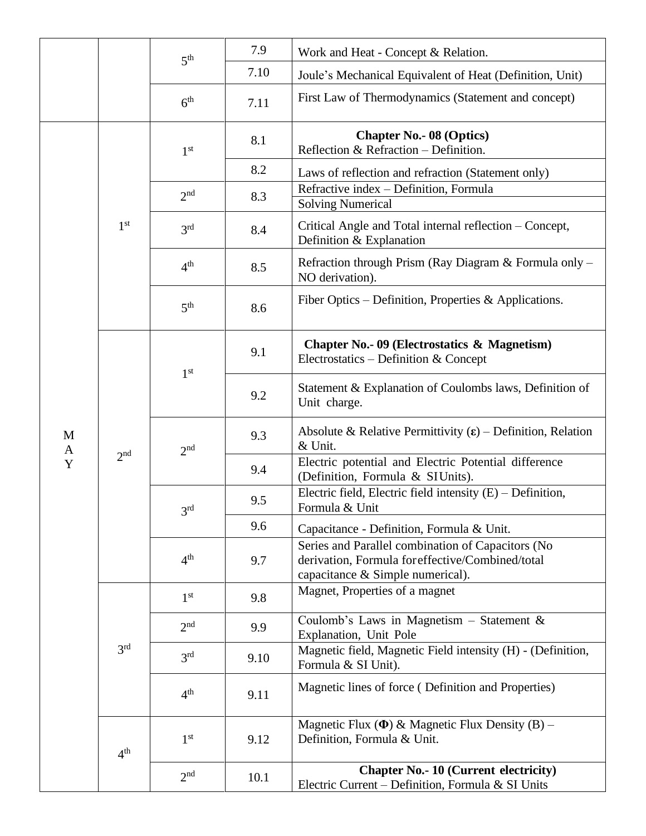|                   |                 | 5 <sup>th</sup>                    | 7.9  | Work and Heat - Concept & Relation.                                                                                                       |
|-------------------|-----------------|------------------------------------|------|-------------------------------------------------------------------------------------------------------------------------------------------|
|                   |                 |                                    | 7.10 | Joule's Mechanical Equivalent of Heat (Definition, Unit)                                                                                  |
|                   |                 | 6 <sup>th</sup>                    | 7.11 | First Law of Thermodynamics (Statement and concept)                                                                                       |
|                   |                 | 1 <sup>st</sup>                    | 8.1  | <b>Chapter No.- 08 (Optics)</b><br>Reflection & Refraction - Definition.                                                                  |
|                   |                 |                                    | 8.2  | Laws of reflection and refraction (Statement only)                                                                                        |
|                   |                 | 2 <sub>nd</sub>                    | 8.3  | Refractive index - Definition, Formula<br><b>Solving Numerical</b>                                                                        |
|                   | 1 <sup>st</sup> | 3 <sup>rd</sup>                    | 8.4  | Critical Angle and Total internal reflection – Concept,<br>Definition $&$ Explanation                                                     |
|                   |                 | 4 <sup>th</sup>                    | 8.5  | Refraction through Prism (Ray Diagram & Formula only –<br>NO derivation).                                                                 |
|                   |                 | 5 <sup>th</sup>                    | 8.6  | Fiber Optics – Definition, Properties & Applications.                                                                                     |
|                   | 2 <sup>nd</sup> | 1 <sup>st</sup>                    | 9.1  | <b>Chapter No.- 09 (Electrostatics &amp; Magnetism)</b><br>Electrostatics – Definition & Concept                                          |
|                   |                 |                                    | 9.2  | Statement & Explanation of Coulombs laws, Definition of<br>Unit charge.                                                                   |
| M<br>$\mathbf{A}$ |                 | 2 <sup>nd</sup>                    | 9.3  | Absolute & Relative Permittivity $(\epsilon)$ – Definition, Relation<br>& Unit.                                                           |
| Y                 |                 |                                    | 9.4  | Electric potential and Electric Potential difference<br>(Definition, Formula & SIUnits).                                                  |
|                   |                 | 3 <sup>rd</sup><br>4 <sup>th</sup> | 9.5  | Electric field, Electric field intensity (E) - Definition,<br>Formula & Unit                                                              |
|                   |                 |                                    | 9.6  | Capacitance - Definition, Formula & Unit.                                                                                                 |
|                   |                 |                                    | 9.7  | Series and Parallel combination of Capacitors (No<br>derivation, Formula for effective/Combined/total<br>capacitance & Simple numerical). |
|                   |                 | 1 <sup>st</sup>                    | 9.8  | Magnet, Properties of a magnet                                                                                                            |
|                   |                 | 2 <sup>nd</sup>                    | 9.9  | Coulomb's Laws in Magnetism - Statement &<br>Explanation, Unit Pole                                                                       |
|                   | 3 <sup>rd</sup> | 3 <sup>rd</sup>                    | 9.10 | Magnetic field, Magnetic Field intensity (H) - (Definition,<br>Formula & SI Unit).                                                        |
|                   |                 | 4 <sup>th</sup>                    | 9.11 | Magnetic lines of force (Definition and Properties)                                                                                       |
|                   | 4 <sup>th</sup> | 1 <sup>st</sup>                    | 9.12 | Magnetic Flux ( $\Phi$ ) & Magnetic Flux Density (B) –<br>Definition, Formula & Unit.                                                     |
|                   |                 | 2 <sup>nd</sup>                    | 10.1 | <b>Chapter No.- 10 (Current electricity)</b><br>Electric Current - Definition, Formula & SI Units                                         |